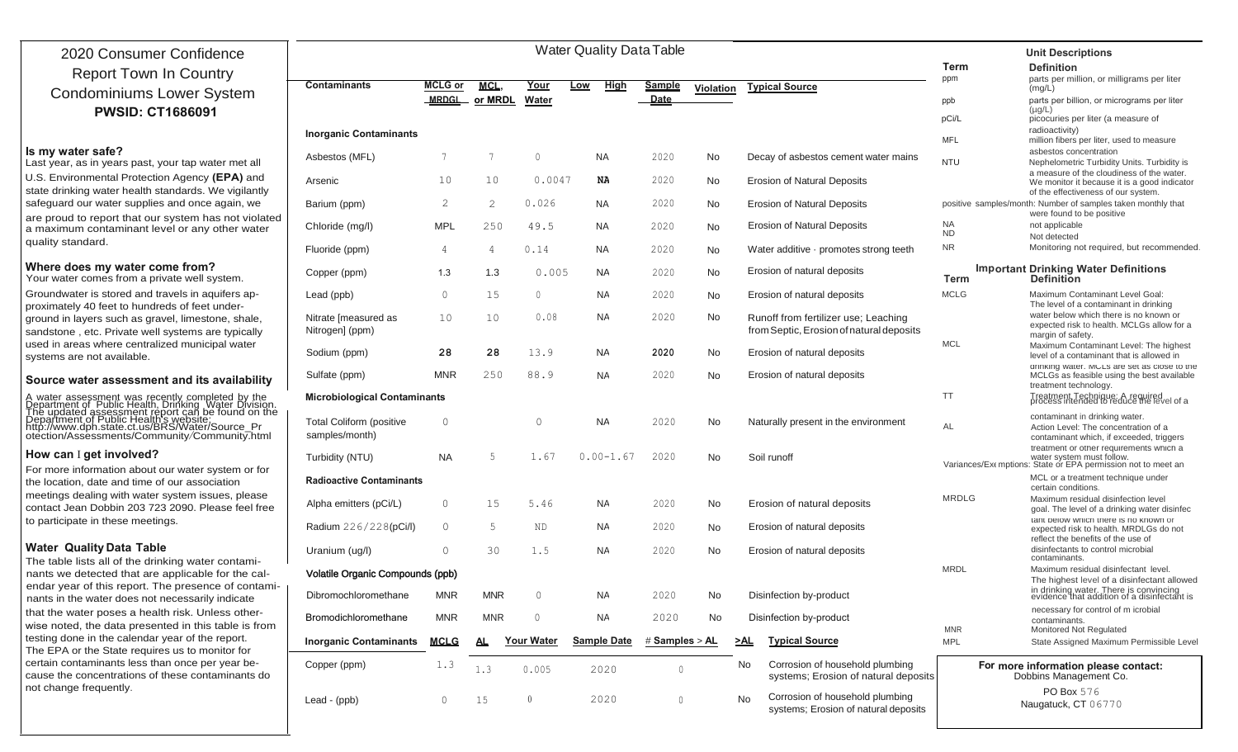| 2020 Consumer Confidence                                                                                                                                                                                                                                                                                                                            | <b>Water Quality Data Table</b>                   |                |                |                   |     |                    |                  |           |           |                                                                                  |                                                                | <b>Unit Descriptions</b>                                                                                                             |
|-----------------------------------------------------------------------------------------------------------------------------------------------------------------------------------------------------------------------------------------------------------------------------------------------------------------------------------------------------|---------------------------------------------------|----------------|----------------|-------------------|-----|--------------------|------------------|-----------|-----------|----------------------------------------------------------------------------------|----------------------------------------------------------------|--------------------------------------------------------------------------------------------------------------------------------------|
|                                                                                                                                                                                                                                                                                                                                                     |                                                   |                |                |                   |     |                    |                  |           |           |                                                                                  | Term                                                           | <b>Definition</b>                                                                                                                    |
| <b>Report Town In Country</b>                                                                                                                                                                                                                                                                                                                       | <b>Contaminants</b>                               | <b>MCLG</b> or | <b>MCL</b>     | Your              | Low | High               | <b>Sample</b>    | Violation |           | <b>Typical Source</b>                                                            | ppm                                                            | parts per million, or milligrams per liter<br>(mg/L)                                                                                 |
| <b>Condominiums Lower System</b>                                                                                                                                                                                                                                                                                                                    |                                                   | <b>MRDGL</b>   | or MRDL        | Water             |     |                    | Date             |           |           |                                                                                  | ppb                                                            | parts per billion, or micrograms per liter                                                                                           |
| <b>PWSID: CT1686091</b>                                                                                                                                                                                                                                                                                                                             |                                                   |                |                |                   |     |                    |                  |           |           |                                                                                  | pCi/L                                                          | $(\mu g/L)$<br>picocuries per liter (a measure of                                                                                    |
|                                                                                                                                                                                                                                                                                                                                                     | <b>Inorganic Contaminants</b>                     |                |                |                   |     |                    |                  |           |           |                                                                                  | <b>MFL</b>                                                     | radioactivity)<br>million fibers per liter, used to measure                                                                          |
| Is my water safe?<br>Last year, as in years past, your tap water met all                                                                                                                                                                                                                                                                            | Asbestos (MFL)                                    | 7              | -7             | $\Omega$          |     | NA                 | 2020             | No        |           | Decay of asbestos cement water mains                                             | <b>NTU</b>                                                     | asbestos concentration<br>Nephelometric Turbidity Units. Turbidity is                                                                |
| U.S. Environmental Protection Agency (EPA) and<br>state drinking water health standards. We vigilantly                                                                                                                                                                                                                                              | Arsenic                                           | 10             | 10             | 0.0047            |     | NA                 | 2020             | No        |           | <b>Erosion of Natural Deposits</b>                                               |                                                                | a measure of the cloudiness of the water.<br>We monitor it because it is a good indicator                                            |
| safeguard our water supplies and once again, we                                                                                                                                                                                                                                                                                                     | Barium (ppm)                                      | 2              | 2              | 0.026             |     | NA.                | 2020             | No        |           | <b>Erosion of Natural Deposits</b>                                               |                                                                | of the effectiveness of our system.<br>positive samples/month: Number of samples taken monthly that                                  |
| are proud to report that our system has not violated<br>a maximum contaminant level or any other water                                                                                                                                                                                                                                              | Chloride (mg/l)                                   | <b>MPL</b>     | 250            | 49.5              |     | NA.                | 2020             | No        |           | <b>Erosion of Natural Deposits</b>                                               | <b>NA</b><br><b>ND</b>                                         | were found to be positive<br>not applicable<br>Not detected                                                                          |
| quality standard.                                                                                                                                                                                                                                                                                                                                   | Fluoride (ppm)                                    | 4              | $\overline{4}$ | 0.14              |     | NA.                | 2020             | No        |           | Water additive · promotes strong teeth                                           | <b>NR</b>                                                      | Monitoring not required, but recommended                                                                                             |
| Where does my water come from?<br>Your water comes from a private well system.                                                                                                                                                                                                                                                                      | Copper (ppm)                                      | 1.3            | 1.3            | 0.005             |     | <b>NA</b>          | 2020             | No        |           | Erosion of natural deposits                                                      | <b>Term</b>                                                    | <b>Important Drinking Water Definitions</b><br><b>Definition</b>                                                                     |
| Groundwater is stored and travels in aquifers ap-<br>proximately 40 feet to hundreds of feet under-                                                                                                                                                                                                                                                 | Lead (ppb)                                        | $\circ$        | 15             | $\overline{0}$    |     | <b>NA</b>          | 2020             | No        |           | Erosion of natural deposits                                                      | <b>MCLG</b>                                                    | Maximum Contaminant Level Goal:<br>The level of a contaminant in drinking                                                            |
| ground in layers such as gravel, limestone, shale,<br>sandstone, etc. Private well systems are typically                                                                                                                                                                                                                                            | Nitrate [measured as<br>Nitrogen] (ppm)           | 10             | 10             | 0.08              |     | <b>NA</b>          | 2020             | No        |           | Runoff from fertilizer use; Leaching<br>from Septic, Erosion of natural deposits |                                                                | water below which there is no known or<br>expected risk to health. MCLGs allow for a<br>margin of safety.                            |
| used in areas where centralized municipal water<br>systems are not available.                                                                                                                                                                                                                                                                       | Sodium (ppm)                                      | 28             | 28             | 13.9              |     | <b>NA</b>          | 2020             | No        |           | Erosion of natural deposits                                                      | <b>MCL</b>                                                     | Maximum Contaminant Level: The highest<br>level of a contaminant that is allowed in                                                  |
| Source water assessment and its availability                                                                                                                                                                                                                                                                                                        | Sulfate (ppm)                                     | <b>MNR</b>     | 250            | 88.9              |     | <b>NA</b>          | 2020             | No        |           | Erosion of natural deposits                                                      |                                                                | arinking water. MULs are set as close to the<br>MCLGs as feasible using the best available<br>treatment technology.                  |
|                                                                                                                                                                                                                                                                                                                                                     | <b>Microbiological Contaminants</b>               |                |                |                   |     |                    |                  |           | <b>TT</b> | Treatment Technique: A required<br>process intended to reduce the level of a     |                                                                |                                                                                                                                      |
| A water assessment was recently completed by the<br>Department of Public Health, Drinking Water Division.<br>The updated assessment report can be found on the<br>Department of Public Health's website:<br>http://www.dph.state.ct.us/BRS                                                                                                          | <b>Total Coliform (positive</b><br>samples/month) | $\Omega$       |                | $\Omega$          |     | NA.                | 2020             | No        |           | Naturally present in the environment                                             | AL                                                             | contaminant in drinking water.<br>Action Level: The concentration of a<br>contaminant which, if exceeded, triggers                   |
| How can I get involved?                                                                                                                                                                                                                                                                                                                             | Turbidity (NTU)                                   | NA.            | .5             | 1.67              |     | $0.00 - 1.67$      | 2020             | <b>No</b> |           | Soil runoff                                                                      |                                                                | treatment or other requirements which a<br>water system must follow.<br>Variances/Exemptions: State or EPA permission not to meet an |
| For more information about our water system or for<br>the location, date and time of our association                                                                                                                                                                                                                                                | <b>Radioactive Contaminants</b>                   |                |                |                   |     |                    |                  |           |           |                                                                                  |                                                                | MCL or a treatment technique under<br>certain conditions.                                                                            |
| meetings dealing with water system issues, please<br>contact Jean Dobbin 203 723 2090. Please feel free                                                                                                                                                                                                                                             | Alpha emitters (pCi/L)                            | $\mathbf 0$    | 15             | 5.46              |     | NA                 | 2020             | No        |           | Erosion of natural deposits                                                      | <b>MRDLG</b>                                                   | Maximum residual disinfection level<br>goal. The level of a drinking water disinfec                                                  |
| to participate in these meetings.                                                                                                                                                                                                                                                                                                                   | Radium 226/228(pCi/l)                             | $\circ$        | .5             | <b>ND</b>         |     | <b>NA</b>          | 2020             | No        |           | Erosion of natural deposits                                                      |                                                                | tant below which there is no known or<br>expected risk to health. MRDLGs do not<br>reflect the benefits of the use of                |
| <b>Water Quality Data Table</b><br>The table lists all of the drinking water contami-                                                                                                                                                                                                                                                               | Uranium (ug/l)                                    | $\Omega$       | 30             | 1.5               |     | NA                 | 2020             | No        |           | Erosion of natural deposits                                                      |                                                                | disinfectants to control microbial<br>contaminants.                                                                                  |
| nants we detected that are applicable for the cal-<br>endar year of this report. The presence of contami-                                                                                                                                                                                                                                           | Volatile Organic Compounds (ppb)                  |                |                |                   |     |                    |                  |           |           |                                                                                  | <b>MRDL</b>                                                    | Maximum residual disinfectant level.<br>The highest level of a disinfectant allowed                                                  |
| nants in the water does not necessarily indicate                                                                                                                                                                                                                                                                                                    | Dibromochloromethane                              | <b>MNR</b>     | <b>MNR</b>     | $\Omega$          |     | NA                 | 2020             | No        |           | Disinfection by-product                                                          |                                                                | in drinking water. There is convincing<br>evidence that addition of a disinfectant is                                                |
| that the water poses a health risk. Unless other-<br>wise noted, the data presented in this table is from<br>testing done in the calendar year of the report.<br>The EPA or the State requires us to monitor for<br>certain contaminants less than once per year be-<br>cause the concentrations of these contaminants do<br>not change frequently. | Bromodichloromethane                              | <b>MNR</b>     | <b>MNR</b>     | 0                 |     | NA                 | 2020             | No        |           | Disinfection by-product                                                          | <b>MNR</b>                                                     | necessary for control of m icrobial<br>contaminants.<br>Monitored Not Regulated                                                      |
|                                                                                                                                                                                                                                                                                                                                                     | <b>Inorganic Contaminants</b>                     | <u>MCLG</u>    | AL.            | <b>Your Water</b> |     | <b>Sample Date</b> | # Samples > $AL$ |           | $\geq$ AL | <b>Typical Source</b>                                                            | MPL                                                            | State Assigned Maximum Permissible Level                                                                                             |
|                                                                                                                                                                                                                                                                                                                                                     | Copper (ppm)                                      | 1.3            | 1.3            | 0.005             |     | 2020               | $\Omega$         |           | No        | Corrosion of household plumbing<br>systems; Erosion of natural deposits          | For more information please contact:<br>Dobbins Management Co. |                                                                                                                                      |
|                                                                                                                                                                                                                                                                                                                                                     | Lead - (ppb)                                      | $\circ$        | 15             | $\overline{0}$    |     | 2020               | $\circ$          |           | No        | Corrosion of household plumbing<br>systems; Erosion of natural deposits          |                                                                | PO Box 576<br>Naugatuck, CT 06770                                                                                                    |